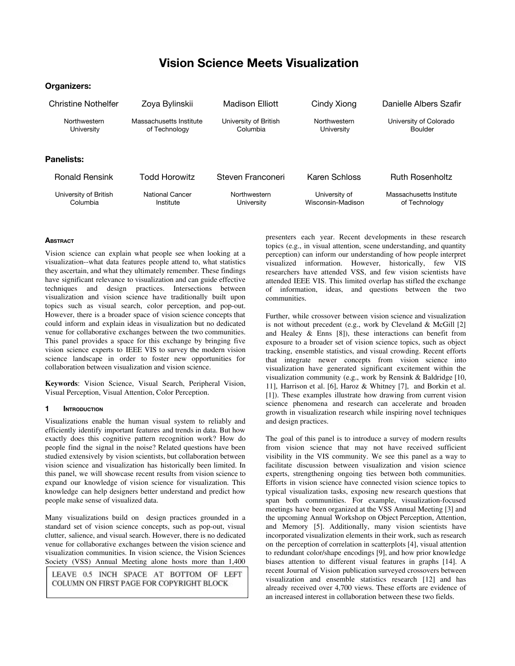# Vision Science Meets Visualization

# Organizers:

| Christine Nothelfer               | Zoya Bylinskii                           | <b>Madison Elliott</b>            | Cindy Xiong                        | Danielle Albers Szafir                   |
|-----------------------------------|------------------------------------------|-----------------------------------|------------------------------------|------------------------------------------|
| Northwestern<br>University        | Massachusetts Institute<br>of Technology | University of British<br>Columbia | Northwestern<br>University         | University of Colorado<br>Boulder        |
| Panelists:                        |                                          |                                   |                                    |                                          |
| <b>Ronald Rensink</b>             | Todd Horowitz                            | Steven Franconeri                 | Karen Schloss                      | <b>Ruth Rosenholtz</b>                   |
| University of British<br>Columbia | <b>National Cancer</b><br>Institute      | Northwestern<br>University        | University of<br>Wisconsin-Madison | Massachusetts Institute<br>of Technology |

## **ABSTRACT**

Vision science can explain what people see when looking at a visualization--what data features people attend to, what statistics they ascertain, and what they ultimately remember. These findings have significant relevance to visualization and can guide effective techniques and design practices. Intersections between visualization and vision science have traditionally built upon topics such as visual search, color perception, and pop-out. However, there is a broader space of vision science concepts that could inform and explain ideas in visualization but no dedicated venue for collaborative exchanges between the two communities. This panel provides a space for this exchange by bringing five vision science experts to IEEE VIS to survey the modern vision science landscape in order to foster new opportunities for collaboration between visualization and vision science.

Keywords: Vision Science, Visual Search, Peripheral Vision, Visual Perception, Visual Attention, Color Perception.

## **INTRODUCTION**

Visualizations enable the human visual system to reliably and efficiently identify important features and trends in data. But how exactly does this cognitive pattern recognition work? How do people find the signal in the noise? Related questions have been studied extensively by vision scientists, but collaboration between vision science and visualization has historically been limited. In this panel, we will showcase recent results from vision science to expand our knowledge of vision science for visualization. This knowledge can help designers better understand and predict how people make sense of visualized data.

Many visualizations build on design practices grounded in a standard set of vision science concepts, such as pop-out, visual clutter, salience, and visual search. However, there is no dedicated venue for collaborative exchanges between the vision science and visualization communities. In vision science, the Vision Sciences Society (VSS) Annual Meeting alone hosts more than 1,400

LEAVE 0.5 INCH SPACE AT BOTTOM OF LEFT COLUMN ON FIRST PAGE FOR COPYRIGHT BLOCK

presenters each year. Recent developments in these research topics (e.g., in visual attention, scene understanding, and quantity perception) can inform our understanding of how people interpret visualized information. However, historically, few VIS researchers have attended VSS, and few vision scientists have attended IEEE VIS. This limited overlap has stifled the exchange of information, ideas, and questions between the two communities.

Further, while crossover between vision science and visualization is not without precedent (e.g., work by Cleveland & McGill [2] and Healey  $\&$  Enns [8]), these interactions can benefit from exposure to a broader set of vision science topics, such as object tracking, ensemble statistics, and visual crowding. Recent efforts that integrate newer concepts from vision science into visualization have generated significant excitement within the visualization community (e.g., work by Rensink & Baldridge [10, 11], Harrison et al. [6], Haroz & Whitney [7], and Borkin et al. [1]). These examples illustrate how drawing from current vision science phenomena and research can accelerate and broaden growth in visualization research while inspiring novel techniques and design practices.

The goal of this panel is to introduce a survey of modern results from vision science that may not have received sufficient visibility in the VIS community. We see this panel as a way to facilitate discussion between visualization and vision science experts, strengthening ongoing ties between both communities. Efforts in vision science have connected vision science topics to typical visualization tasks, exposing new research questions that span both communities. For example, visualization-focused meetings have been organized at the VSS Annual Meeting [3] and the upcoming Annual Workshop on Object Perception, Attention, and Memory [5]. Additionally, many vision scientists have incorporated visualization elements in their work, such as research on the perception of correlation in scatterplots [4], visual attention to redundant color/shape encodings [9], and how prior knowledge biases attention to different visual features in graphs [14]. A recent Journal of Vision publication surveyed crossovers between visualization and ensemble statistics research [12] and has already received over 4,700 views. These efforts are evidence of an increased interest in collaboration between these two fields.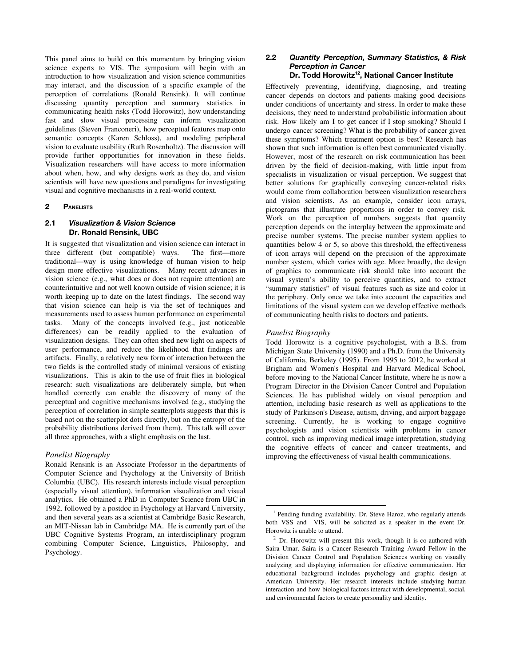This panel aims to build on this momentum by bringing vision science experts to VIS. The symposium will begin with an introduction to how visualization and vision science communities may interact, and the discussion of a specific example of the perception of correlations (Ronald Rensink). It will continue discussing quantity perception and summary statistics in communicating health risks (Todd Horowitz), how understanding fast and slow visual processing can inform visualization guidelines (Steven Franconeri), how perceptual features map onto semantic concepts (Karen Schloss), and modeling peripheral vision to evaluate usability (Ruth Rosenholtz). The discussion will provide further opportunities for innovation in these fields. Visualization researchers will have access to more information about when, how, and why designs work as they do, and vision scientists will have new questions and paradigms for investigating visual and cognitive mechanisms in a real-world context.

## 2 PANELISTS

## 2.1 Visualization & Vision Science Dr. Ronald Rensink, UBC

It is suggested that visualization and vision science can interact in three different (but compatible) ways. The first—more traditional—way is using knowledge of human vision to help design more effective visualizations. Many recent advances in vision science (e.g., what does or does not require attention) are counterintuitive and not well known outside of vision science; it is worth keeping up to date on the latest findings. The second way that vision science can help is via the set of techniques and measurements used to assess human performance on experimental tasks. Many of the concepts involved (e.g., just noticeable differences) can be readily applied to the evaluation of visualization designs. They can often shed new light on aspects of user performance, and reduce the likelihood that findings are artifacts. Finally, a relatively new form of interaction between the two fields is the controlled study of minimal versions of existing visualizations. This is akin to the use of fruit flies in biological research: such visualizations are deliberately simple, but when handled correctly can enable the discovery of many of the perceptual and cognitive mechanisms involved (e.g., studying the perception of correlation in simple scatterplots suggests that this is based not on the scatterplot dots directly, but on the entropy of the probability distributions derived from them). This talk will cover all three approaches, with a slight emphasis on the last.

## Panelist Biography

Ronald Rensink is an Associate Professor in the departments of Computer Science and Psychology at the University of British Columbia (UBC). His research interests include visual perception (especially visual attention), information visualization and visual analytics. He obtained a PhD in Computer Science from UBC in 1992, followed by a postdoc in Psychology at Harvard University, and then several years as a scientist at Cambridge Basic Research, an MIT-Nissan lab in Cambridge MA. He is currently part of the UBC Cognitive Systems Program, an interdisciplinary program combining Computer Science, Linguistics, Philosophy, and Psychology.

## 2.2 Quantity Perception, Summary Statistics, & Risk Perception in Cancer Dr. Todd Horowitz<sup>12</sup>, National Cancer Institute

Effectively preventing, identifying, diagnosing, and treating cancer depends on doctors and patients making good decisions under conditions of uncertainty and stress. In order to make these decisions, they need to understand probabilistic information about risk. How likely am I to get cancer if I stop smoking? Should I undergo cancer screening? What is the probability of cancer given these symptoms? Which treatment option is best? Research has shown that such information is often best communicated visually. However, most of the research on risk communication has been driven by the field of decision-making, with little input from specialists in visualization or visual perception. We suggest that better solutions for graphically conveying cancer-related risks would come from collaboration between visualization researchers and vision scientists. As an example, consider icon arrays, pictograms that illustrate proportions in order to convey risk. Work on the perception of numbers suggests that quantity perception depends on the interplay between the approximate and precise number systems. The precise number system applies to quantities below 4 or 5, so above this threshold, the effectiveness of icon arrays will depend on the precision of the approximate number system, which varies with age. More broadly, the design of graphics to communicate risk should take into account the visual system's ability to perceive quantities, and to extract "summary statistics" of visual features such as size and color in the periphery. Only once we take into account the capacities and limitations of the visual system can we develop effective methods of communicating health risks to doctors and patients.

#### Panelist Biography

Todd Horowitz is a cognitive psychologist, with a B.S. from Michigan State University (1990) and a Ph.D. from the University of California, Berkeley (1995). From 1995 to 2012, he worked at Brigham and Women's Hospital and Harvard Medical School, before moving to the National Cancer Institute, where he is now a Program Director in the Division Cancer Control and Population Sciences. He has published widely on visual perception and attention, including basic research as well as applications to the study of Parkinson's Disease, autism, driving, and airport baggage screening. Currently, he is working to engage cognitive psychologists and vision scientists with problems in cancer control, such as improving medical image interpretation, studying the cognitive effects of cancer and cancer treatments, and improving the effectiveness of visual health communications.

<sup>&</sup>lt;sup>1</sup> Pending funding availability. Dr. Steve Haroz, who regularly attends both VSS and VIS, will be solicited as a speaker in the event Dr. Horowitz is unable to attend.

<sup>2</sup> Dr. Horowitz will present this work, though it is co-authored with Saira Umar. Saira is a Cancer Research Training Award Fellow in the Division Cancer Control and Population Sciences working on visually analyzing and displaying information for effective communication. Her educational background includes psychology and graphic design at American University. Her research interests include studying human interaction and how biological factors interact with developmental, social, and environmental factors to create personality and identity.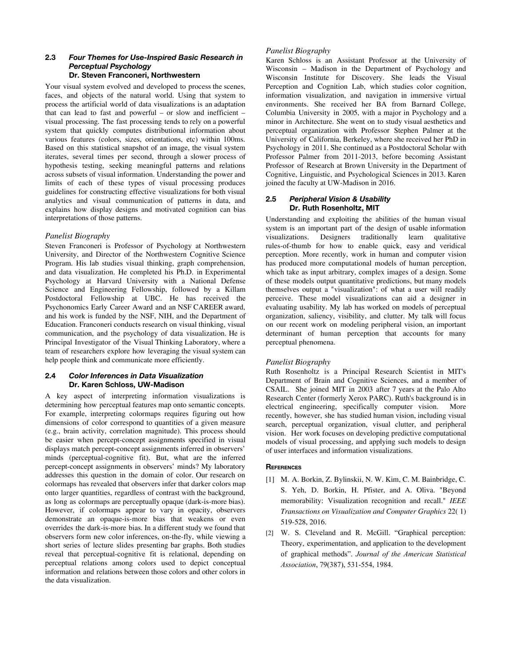## 2.3 Four Themes for Use-Inspired Basic Research in Perceptual Psychology Dr. Steven Franconeri, Northwestern

Your visual system evolved and developed to process the scenes, faces, and objects of the natural world. Using that system to process the artificial world of data visualizations is an adaptation that can lead to fast and powerful – or slow and inefficient – visual processing. The fast processing tends to rely on a powerful system that quickly computes distributional information about various features (colors, sizes, orientations, etc) within 100ms. Based on this statistical snapshot of an image, the visual system iterates, several times per second, through a slower process of hypothesis testing, seeking meaningful patterns and relations across subsets of visual information. Understanding the power and limits of each of these types of visual processing produces guidelines for constructing effective visualizations for both visual analytics and visual communication of patterns in data, and explains how display designs and motivated cognition can bias interpretations of those patterns.

# Panelist Biography

Steven Franconeri is Professor of Psychology at Northwestern University, and Director of the Northwestern Cognitive Science Program. His lab studies visual thinking, graph comprehension, and data visualization. He completed his Ph.D. in Experimental Psychology at Harvard University with a National Defense Science and Engineering Fellowship, followed by a Killam Postdoctoral Fellowship at UBC. He has received the Psychonomics Early Career Award and an NSF CAREER award, and his work is funded by the NSF, NIH, and the Department of Education. Franconeri conducts research on visual thinking, visual communication, and the psychology of data visualization. He is Principal Investigator of the Visual Thinking Laboratory, where a team of researchers explore how leveraging the visual system can help people think and communicate more efficiently.

## 2.4 Color Inferences in Data Visualization Dr. Karen Schloss, UW-Madison

A key aspect of interpreting information visualizations is determining how perceptual features map onto semantic concepts. For example, interpreting colormaps requires figuring out how dimensions of color correspond to quantities of a given measure (e.g., brain activity, correlation magnitude). This process should be easier when percept-concept assignments specified in visual displays match percept-concept assignments inferred in observers' minds (perceptual-cognitive fit). But, what are the inferred percept-concept assignments in observers' minds? My laboratory addresses this question in the domain of color. Our research on colormaps has revealed that observers infer that darker colors map onto larger quantities, regardless of contrast with the background, as long as colormaps are perceptually opaque (dark-is-more bias). However, if colormaps appear to vary in opacity, observers demonstrate an opaque-is-more bias that weakens or even overrides the dark-is-more bias. In a different study we found that observers form new color inferences, on-the-fly, while viewing a short series of lecture slides presenting bar graphs. Both studies reveal that perceptual-cognitive fit is relational, depending on perceptual relations among colors used to depict conceptual information and relations between those colors and other colors in the data visualization.

# Panelist Biography

Karen Schloss is an Assistant Professor at the University of Wisconsin – Madison in the Department of Psychology and Wisconsin Institute for Discovery. She leads the Visual Perception and Cognition Lab, which studies color cognition, information visualization, and navigation in immersive virtual environments. She received her BA from Barnard College, Columbia University in 2005, with a major in Psychology and a minor in Architecture. She went on to study visual aesthetics and perceptual organization with Professor Stephen Palmer at the University of California, Berkeley, where she received her PhD in Psychology in 2011. She continued as a Postdoctoral Scholar with Professor Palmer from 2011-2013, before becoming Assistant Professor of Research at Brown University in the Department of Cognitive, Linguistic, and Psychological Sciences in 2013. Karen joined the faculty at UW-Madison in 2016.

# 2.5 Peripheral Vision & Usability Dr. Ruth Rosenholtz, MIT

Understanding and exploiting the abilities of the human visual system is an important part of the design of usable information<br>visualizations. Designers traditionally learn qualitative Designers traditionally learn qualitative rules-of-thumb for how to enable quick, easy and veridical perception. More recently, work in human and computer vision has produced more computational models of human perception, which take as input arbitrary, complex images of a design. Some of these models output quantitative predictions, but many models themselves output a "visualization": of what a user will readily perceive. These model visualizations can aid a designer in evaluating usability. My lab has worked on models of perceptual organization, saliency, visibility, and clutter. My talk will focus on our recent work on modeling peripheral vision, an important determinant of human perception that accounts for many perceptual phenomena.

# Panelist Biography

Ruth Rosenholtz is a Principal Research Scientist in MIT's Department of Brain and Cognitive Sciences, and a member of CSAIL. She joined MIT in 2003 after 7 years at the Palo Alto Research Center (formerly Xerox PARC). Ruth's background is in electrical engineering, specifically computer vision. More electrical engineering, specifically computer vision. recently, however, she has studied human vision, including visual search, perceptual organization, visual clutter, and peripheral vision. Her work focuses on developing predictive computational models of visual processing, and applying such models to design of user interfaces and information visualizations.

# **REFERENCES**

- [1] M. A. Borkin, Z. Bylinskii, N. W. Kim, C. M. Bainbridge, C. S. Yeh, D. Borkin, H. Pfister, and A. Oliva. "Beyond memorability: Visualization recognition and recall." IEEE Transactions on Visualization and Computer Graphics 22( 1) 519-528, 2016.
- [2] W. S. Cleveland and R. McGill. "Graphical perception: Theory, experimentation, and application to the development of graphical methods". *Journal of the American Statistical Association*, 79(387), 531-554, 1984.